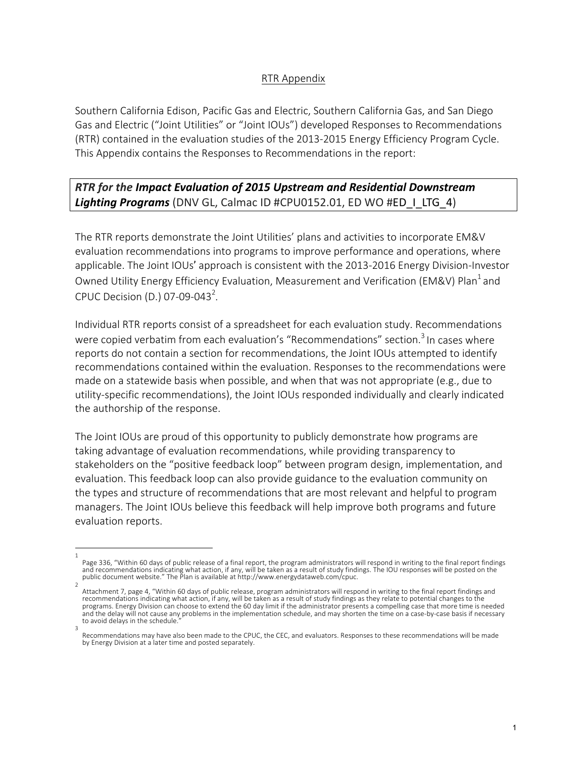## RTR Appendix

Southern California Edison, Pacific Gas and Electric, Southern California Gas, and San Diego Gas and Electric ("Joint Utilities" or "Joint IOUs") developed Responses to Recommendations (RTR) contained in the evaluation studies of the 2013-2015 Energy Efficiency Program Cycle. This Appendix contains the Responses to Recommendations in the report:

**RTR** for the Impact Evaluation of 2015 Upstream and Residential Downstream Lighting Programs (DNV GL, Calmac ID #CPU0152.01, ED WO #ED\_I\_LTG\_4)

The RTR reports demonstrate the Joint Utilities' plans and activities to incorporate EM&V evaluation recommendations into programs to improve performance and operations, where applicable. The Joint IOUs' approach is consistent with the 2013-2016 Energy Division-Investor Owned Utility Energy Efficiency Evaluation, Measurement and Verification (EM&V) Plan<sup>1</sup> and CPUC Decision (D.) 07-09-043<sup>2</sup>.

Individual RTR reports consist of a spreadsheet for each evaluation study. Recommendations were copied verbatim from each evaluation's "Recommendations" section.<sup>3</sup> In cases where reports do not contain a section for recommendations, the Joint IOUs attempted to identify recommendations contained within the evaluation. Responses to the recommendations were made on a statewide basis when possible, and when that was not appropriate  $(e.g.,$  due to utility-specific recommendations), the Joint IOUs responded individually and clearly indicated the authorship of the response.

The Joint IOUs are proud of this opportunity to publicly demonstrate how programs are taking advantage of evaluation recommendations, while providing transparency to stakeholders on the "positive feedback loop" between program design, implementation, and evaluation. This feedback loop can also provide guidance to the evaluation community on the types and structure of recommendations that are most relevant and helpful to program managers. The Joint IOUs believe this feedback will help improve both programs and future evaluation reports.

<sup>1</sup>  Page 336, "Within 60 days of public release of a final report, the program administrators will respond in writing to the final report findings and recommendations indicating what action, if any, will be taken as a result of study findings. The IOU responses will be posted on the public document website." The Plan is available at http://www.energydataweb.com/cpuc.

<sup>2</sup>  Attachment 7, page 4, "Within 60 days of public release, program administrators will respond in writing to the final report findings and recommendations indicating what action, if any, will be taken as a result of study findings as they relate to potential changes to the programs. Energy Division can choose to extend the 60 day limit if the administrator presents a compelling case that more time is needed and the delay will not cause any problems in the implementation schedule, and may shorten the time on a case-by-case basis if necessary to avoid delays in the schedule. 3 

Recommendations may have also been made to the CPUC, the CEC, and evaluators. Responses to these recommendations will be made by Energy Division at a later time and posted separately.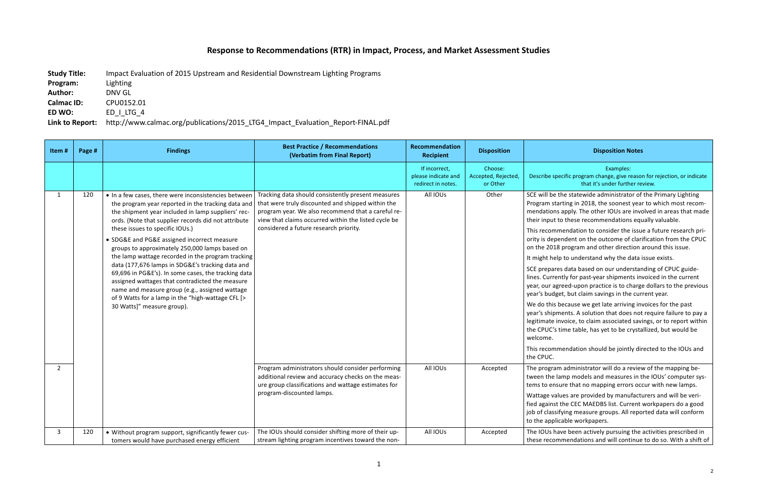## **Response to Recommendations (RTR) in Impact, Process, and Market Assessment Studies**

**Study Title:** Impact Evaluation of 2015 Upstream and Residential Downstream Lighting Programs

## **Disposition Notes**

| Program:          | Lighting   |
|-------------------|------------|
| <b>Author:</b>    | DNV GL     |
| <b>Calmac ID:</b> | CPU0152.01 |
| ED WO:            | ED I LTG 4 |

Link to Report: http://www.calmac.org/publications/2015\_LTG4\_Impact\_Evaluation\_Report-FINAL.pdf

Examples: 

ecific program change, give reason for rejection, or indicate that it's under further review.

the statewide administrator of the Primary Lighting arting in 2018, the soonest year to which most recoms apply. The other IOUs are involved in areas that made to these recommendations equally valuable.

mendation to consider the issue a future research priendent on the outcome of clarification from the CPUC .8 program and other direction around this issue.

Ip to understand why the data issue exists.

es data based on our understanding of CPUC guide-Intly for past-year shipments invoiced in the current greed-upon practice is to charge dollars to the previous get, but claim savings in the current year.

because we get late arriving invoices for the past ments. A solution that does not require failure to pay a invoice, to claim associated savings, or to report within time table, has yet to be crystallized, but would be

mendation should be jointly directed to the IOUs and

m administrator will do a review of the mapping belamp models and measures in the IOUs' computer syssure that no mapping errors occur with new lamps.

lues are provided by manufacturers and will be verithe CEC MAEDBS list. Current workpapers do a good ifying measure groups. All reported data will conform icable workpapers.

ave been actively pursuing the activities prescribed in mmendations and will continue to do so. With a shift of

| Item#        | Page # | <b>Findings</b>                                                                                                                                                                                                                                                                                                                                                                                                                                                                                                                                                                                                                                                                                                     | <b>Best Practice / Recommendations</b><br>(Verbatim from Final Report)                                                                                                                                                                                          | Recommendation<br><b>Recipient</b>                         | <b>Disposition</b>                         |                                                                                                                                                                                                                                                                                              |
|--------------|--------|---------------------------------------------------------------------------------------------------------------------------------------------------------------------------------------------------------------------------------------------------------------------------------------------------------------------------------------------------------------------------------------------------------------------------------------------------------------------------------------------------------------------------------------------------------------------------------------------------------------------------------------------------------------------------------------------------------------------|-----------------------------------------------------------------------------------------------------------------------------------------------------------------------------------------------------------------------------------------------------------------|------------------------------------------------------------|--------------------------------------------|----------------------------------------------------------------------------------------------------------------------------------------------------------------------------------------------------------------------------------------------------------------------------------------------|
|              |        |                                                                                                                                                                                                                                                                                                                                                                                                                                                                                                                                                                                                                                                                                                                     |                                                                                                                                                                                                                                                                 | If incorrect,<br>please indicate and<br>redirect in notes. | Choose:<br>Accepted, Rejected,<br>or Other | Describe sp                                                                                                                                                                                                                                                                                  |
| $\mathbf{1}$ | 120    | • In a few cases, there were inconsistencies between<br>the program year reported in the tracking data and<br>the shipment year included in lamp suppliers' rec-<br>ords. (Note that supplier records did not attribute<br>these issues to specific IOUs.)<br>• SDG&E and PG&E assigned incorrect measure<br>groups to approximately 250,000 lamps based on<br>the lamp wattage recorded in the program tracking<br>data (177,676 lamps in SDG&E's tracking data and<br>69,696 in PG&E's). In some cases, the tracking data<br>assigned wattages that contradicted the measure<br>name and measure group (e.g., assigned wattage<br>of 9 Watts for a lamp in the "high-wattage CFL [><br>30 Watts]" measure group). | Tracking data should consistently present measures<br>that were truly discounted and shipped within the<br>program year. We also recommend that a careful re-<br>view that claims occurred within the listed cycle be<br>considered a future research priority. | All IOUs                                                   | Other                                      | SCE will be<br>Program sta<br>mendations<br>their input<br>This recom<br>ority is dep<br>on the 2018<br>It might hel<br><b>SCE</b> prepare<br>lines. Curre<br>year, our ag<br>year's budg<br>We do this<br>year's shipr<br>legitimate i<br>the CPUC's<br>welcome.<br>This recom<br>the CPUC. |
| $2^{\circ}$  |        |                                                                                                                                                                                                                                                                                                                                                                                                                                                                                                                                                                                                                                                                                                                     | Program administrators should consider performing<br>additional review and accuracy checks on the meas-<br>ure group classifications and wattage estimates for                                                                                                  | All IOUs                                                   | Accepted                                   | The prograr<br>tween the I<br>tems to ens                                                                                                                                                                                                                                                    |
|              |        |                                                                                                                                                                                                                                                                                                                                                                                                                                                                                                                                                                                                                                                                                                                     | program-discounted lamps.                                                                                                                                                                                                                                       |                                                            |                                            | Wattage val<br>fied against<br>job of classi<br>to the appli                                                                                                                                                                                                                                 |
| 3            | 120    | • Without program support, significantly fewer cus-<br>tomers would have purchased energy efficient                                                                                                                                                                                                                                                                                                                                                                                                                                                                                                                                                                                                                 | The IOUs should consider shifting more of their up-<br>stream lighting program incentives toward the non-                                                                                                                                                       | All IOUs                                                   | Accepted                                   | The IOUs ha<br>these recon                                                                                                                                                                                                                                                                   |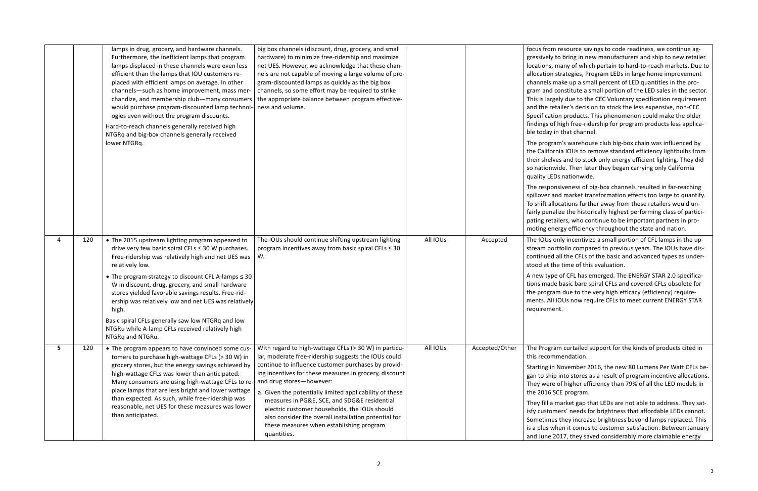resource savings to code readiness, we continue ago bring in new manufacturers and ship to new retailer nany of which pertain to hard-to-reach markets. Due to trategies, Program LEDs in large home improvement ake up a small percent of LED quantities in the proonstitute a small portion of the LED sales in the sector. ely due to the CEC Voluntary specification requirement ailer's decision to stock the less expensive, non-CEC In products. This phenomenon could make the older high free-ridership for program products less applicai that channel.

m's warehouse club big-box chain was influenced by iia IOUs to remove standard efficiency lightbulbs from es and to stock only energy efficient lighting. They did ide. Then later they began carrying only California s nationwide.

siveness of big-box channels resulted in far-reaching d market transformation effects too large to quantify. cations further away from these retailers would unize the historically highest performing class of particiilers, who continue to be important partners in prorgy efficiency throughout the state and nation.

nly incentivize a small portion of CFL lamps in the uptfolio compared to previous years. The IOUs have disall the CFLs of the basic and advanced types as undere time of this evaluation.

of CFL has emerged. The ENERGY STAR 2.0 specificabasic bare spiral CFLs and covered CFLs obsolete for m due to the very high efficacy (efficiency) require-OUs now require CFLs to meet current ENERGY STAR ht.

m curtailed support for the kinds of products cited in nendation.

November 2016, the new 80 Lumens Per Watt CFLs beinto stores as a result of program incentive allocations. of higher efficiency than 79% of all the LED models in <sup>2</sup>E program.

narket gap that LEDs are not able to address. They satiers' needs for brightness that affordable LEDs cannot. they increase brightness beyond lamps replaced. This ien it comes to customer satisfaction. Between January 017, they saved considerably more claimable energy

|                |     | lamps in drug, grocery, and hardware channels.<br>Furthermore, the inefficient lamps that program<br>lamps displaced in these channels were even less<br>efficient than the lamps that IOU customers re-<br>placed with efficient lamps on average. In other<br>channels-such as home improvement, mass mer-<br>chandize, and membership club-many consumers<br>would purchase program-discounted lamp technol-<br>ogies even without the program discounts.<br>Hard-to-reach channels generally received high<br>NTGRq and big-box channels generally received<br>lower NTGRq. | big box channels (discount, drug, grocery, and small<br>hardware) to minimize free-ridership and maximize<br>net UES. However, we acknowledge that these chan-<br>nels are not capable of moving a large volume of pro-<br>gram-discounted lamps as quickly as the big box<br>channels, so some effort may be required to strike<br>the appropriate balance between program effective-<br>ness and volume.                                                                                                                                |          |                | focus from<br>gressively to<br>locations, m<br>allocation st<br>channels m<br>gram and co<br>This is large<br>and the reta<br>Specificatio<br>findings of I<br>ble today in<br>The prograr<br>the Californ<br>their shelve<br>so nationwi<br>quality LEDs<br>The respons<br>spillover an<br>To shift allo<br>fairly penali<br>pating retai |
|----------------|-----|---------------------------------------------------------------------------------------------------------------------------------------------------------------------------------------------------------------------------------------------------------------------------------------------------------------------------------------------------------------------------------------------------------------------------------------------------------------------------------------------------------------------------------------------------------------------------------|-------------------------------------------------------------------------------------------------------------------------------------------------------------------------------------------------------------------------------------------------------------------------------------------------------------------------------------------------------------------------------------------------------------------------------------------------------------------------------------------------------------------------------------------|----------|----------------|--------------------------------------------------------------------------------------------------------------------------------------------------------------------------------------------------------------------------------------------------------------------------------------------------------------------------------------------|
| $\overline{4}$ | 120 | • The 2015 upstream lighting program appeared to<br>drive very few basic spiral CFLs ≤ 30 W purchases.<br>Free-ridership was relatively high and net UES was<br>relatively low.<br>• The program strategy to discount CFL A-lamps $\leq$ 30<br>W in discount, drug, grocery, and small hardware<br>stores yielded favorable savings results. Free-rid-<br>ership was relatively low and net UES was relatively<br>high.<br>Basic spiral CFLs generally saw low NTGRq and low<br>NTGRu while A-lamp CFLs received relatively high<br>NTGRq and NTGRu.                            | The IOUs should continue shifting upstream lighting<br>program incentives away from basic spiral CFLs $\leq$ 30<br>W.                                                                                                                                                                                                                                                                                                                                                                                                                     | All IOUs | Accepted       | moting ene<br>The IOUs or<br>stream port<br>continued a<br>stood at the<br>A new type<br>tions made<br>the progran<br>ments. All I<br>requiremen                                                                                                                                                                                           |
| 5              | 120 | • The program appears to have convinced some cus-<br>tomers to purchase high-wattage CFLs (> 30 W) in<br>grocery stores, but the energy savings achieved by<br>high-wattage CFLs was lower than anticipated.<br>Many consumers are using high-wattage CFLs to re-<br>place lamps that are less bright and lower wattage<br>than expected. As such, while free-ridership was<br>reasonable, net UES for these measures was lower<br>than anticipated.                                                                                                                            | With regard to high-wattage CFLs (> 30 W) in particu-<br>lar, moderate free-ridership suggests the IOUs could<br>continue to influence customer purchases by provid-<br>ing incentives for these measures in grocery, discount<br>and drug stores-however:<br>a. Given the potentially limited applicability of these<br>measures in PG&E, SCE, and SDG&E residential<br>electric customer households, the IOUs should<br>also consider the overall installation potential for<br>these measures when establishing program<br>quantities. | All IOUs | Accepted/Other | The Prograr<br>this recomn<br>Starting in N<br>gan to ship<br>They were o<br>the 2016 SC<br>They fill a m<br>isfy custom<br>Sometimes<br>is a plus wh<br>and June 20                                                                                                                                                                       |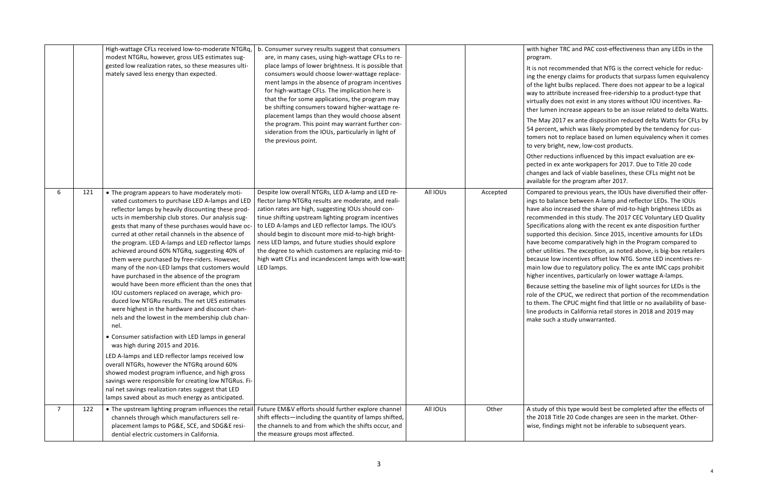## TRC and PAC cost-effectiveness than any LEDs in the

ommended that NTG is the correct vehicle for reducrgy claims for products that surpass lumen equivalency bulbs replaced. There does not appear to be a logical ibute increased free-ridership to a product-type that es not exist in any stores without IOU incentives. Raincrease appears to be an issue related to delta Watts.

117 ex ante disposition reduced delta Watts for CFLs by which was likely prompted by the tendency for custo replace based on lumen equivalency when it comes ht, new, low-cost products.

ctions influenced by this impact evaluation are exx ante workpapers for 2017. Due to Title 20 code d lack of viable baselines, these CFLs might not be r the program after 2017.

to previous years, the IOUs have diversified their offerince between A-lamp and reflector LEDs. The IOUs ncreased the share of mid-to-high brightness LEDs as ded in this study. The 2017 CEC Voluntary LED Quality Ins along with the recent ex ante disposition further this decision. Since 2015, incentive amounts for LEDs ne comparatively high in the Program compared to ies. The exception, as noted above, is big-box retailers w incentives offset low NTG. Some LED incentives reue to regulatory policy. The ex ante IMC caps prohibit ntives, particularly on lower wattage A-lamps.

tting the baseline mix of light sources for LEDs is the CPUC, we redirect that portion of the recommendation ne CPUC might find that little or no availability of basets in California retail stores in 2018 and 2019 may a study unwarranted.

his type would best be completed after the effects of tle 20 Code changes are seen in the market. Othergs might not be inferable to subsequent years.

|                |     | High-wattage CFLs received low-to-moderate NTGRq,<br>modest NTGRu, however, gross UES estimates sug-<br>gested low realization rates, so these measures ulti-<br>mately saved less energy than expected.                                                                                                                                                                                                                                                                                                                                                                                                                                                                                                                                                                                                                                            | b. Consumer survey results suggest that consumers<br>are, in many cases, using high-wattage CFLs to re-<br>place lamps of lower brightness. It is possible that<br>consumers would choose lower-wattage replace-<br>ment lamps in the absence of program incentives<br>for high-wattage CFLs. The implication here is<br>that the for some applications, the program may<br>be shifting consumers toward higher-wattage re-<br>placement lamps than they would choose absent<br>the program. This point may warrant further con-<br>sideration from the IOUs, particularly in light of<br>the previous point. |          |          | with higher<br>program.<br>It is not reco<br>ing the ener<br>of the light<br>way to attri<br>virtually do<br>ther lumen<br>The May 20<br>54 percent,<br>tomers not<br>to very brig<br>Other reduc<br>pected in ex<br>changes and<br>available for        |
|----------------|-----|-----------------------------------------------------------------------------------------------------------------------------------------------------------------------------------------------------------------------------------------------------------------------------------------------------------------------------------------------------------------------------------------------------------------------------------------------------------------------------------------------------------------------------------------------------------------------------------------------------------------------------------------------------------------------------------------------------------------------------------------------------------------------------------------------------------------------------------------------------|---------------------------------------------------------------------------------------------------------------------------------------------------------------------------------------------------------------------------------------------------------------------------------------------------------------------------------------------------------------------------------------------------------------------------------------------------------------------------------------------------------------------------------------------------------------------------------------------------------------|----------|----------|----------------------------------------------------------------------------------------------------------------------------------------------------------------------------------------------------------------------------------------------------------|
| 6              | 121 | • The program appears to have moderately moti-<br>vated customers to purchase LED A-lamps and LED<br>reflector lamps by heavily discounting these prod-<br>ucts in membership club stores. Our analysis sug-<br>gests that many of these purchases would have oc-<br>curred at other retail channels in the absence of<br>the program. LED A-lamps and LED reflector lamps<br>achieved around 60% NTGRq, suggesting 40% of<br>them were purchased by free-riders. However,<br>many of the non-LED lamps that customers would<br>have purchased in the absence of the program<br>would have been more efficient than the ones that<br>IOU customers replaced on average, which pro-<br>duced low NTGRu results. The net UES estimates<br>were highest in the hardware and discount chan-<br>nels and the lowest in the membership club chan-<br>nel. | Despite low overall NTGRs, LED A-lamp and LED re-<br>flector lamp NTGRq results are moderate, and reali-<br>zation rates are high, suggesting IOUs should con-<br>tinue shifting upstream lighting program incentives<br>to LED A-lamps and LED reflector lamps. The IOU's<br>should begin to discount more mid-to-high bright-<br>ness LED lamps, and future studies should explore<br>the degree to which customers are replacing mid-to-<br>high watt CFLs and incandescent lamps with low-watt<br>LED lamps.                                                                                              | All IOUs | Accepted | Compared t<br>ings to bala<br>have also in<br>recommend<br>Specificatio<br>supported t<br>have becom<br>other utiliti<br>because lov<br>main low du<br>higher incer<br><b>Because set</b><br>role of the O<br>to them. Th<br>line product<br>make such a |
|                |     | • Consumer satisfaction with LED lamps in general<br>was high during 2015 and 2016.<br>LED A-lamps and LED reflector lamps received low<br>overall NTGRs, however the NTGRq around 60%<br>showed modest program influence, and high gross<br>savings were responsible for creating low NTGRus. Fi-<br>nal net savings realization rates suggest that LED<br>lamps saved about as much energy as anticipated.                                                                                                                                                                                                                                                                                                                                                                                                                                        |                                                                                                                                                                                                                                                                                                                                                                                                                                                                                                                                                                                                               |          |          |                                                                                                                                                                                                                                                          |
| $\overline{7}$ | 122 | • The upstream lighting program influences the retail<br>channels through which manufacturers sell re-<br>placement lamps to PG&E, SCE, and SDG&E resi-<br>dential electric customers in California.                                                                                                                                                                                                                                                                                                                                                                                                                                                                                                                                                                                                                                                | Future EM&V efforts should further explore channel<br>shift effects-including the quantity of lamps shifted,<br>the channels to and from which the shifts occur, and<br>the measure groups most affected.                                                                                                                                                                                                                                                                                                                                                                                                     | All IOUs | Other    | A study of t<br>the 2018 Tit<br>wise, findin                                                                                                                                                                                                             |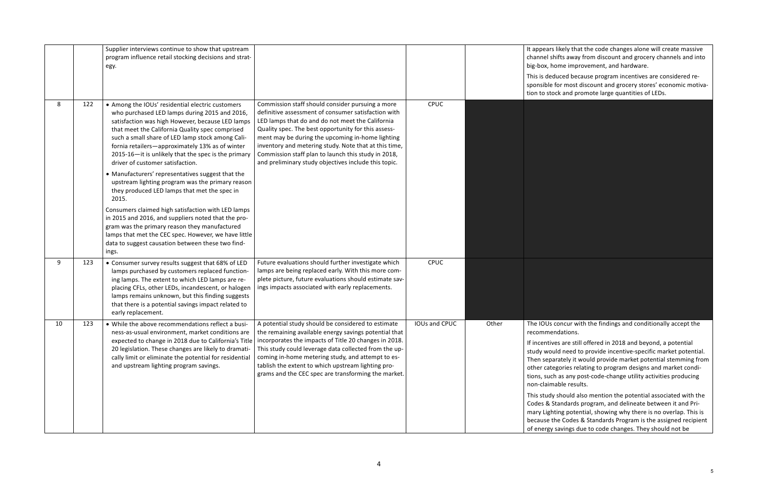likely that the code changes alone will create massive ifts away from discount and grocery channels and into ome improvement, and hardware.

uced because program incentives are considered refor most discount and grocery stores' economic motivack and promote large quantities of LEDs.

concur with the findings and conditionally accept the ndations.

es are still offered in 2018 and beyond, a potential Ild need to provide incentive-specific market potential. rately it would provide market potential stemming from gories relating to program designs and market condi-I as any post-code-change utility activities producing able results.

should also mention the potential associated with the tandards program, and delineate between it and Priting potential, showing why there is no overlap. This is he Codes & Standards Program is the assigned recipient savings due to code changes. They should not be

|    |     | Supplier interviews continue to show that upstream<br>program influence retail stocking decisions and strat-<br>egy.                                                                                                                                                                                                                                                                                                                                                                                                                                                         |                                                                                                                                                                                                                                                                                                                                                                                                                                                |               |       | It appears I<br>channel shi<br>big-box, ho<br>This is ded<br>sponsible f<br>tion to stoc                                                                                               |
|----|-----|------------------------------------------------------------------------------------------------------------------------------------------------------------------------------------------------------------------------------------------------------------------------------------------------------------------------------------------------------------------------------------------------------------------------------------------------------------------------------------------------------------------------------------------------------------------------------|------------------------------------------------------------------------------------------------------------------------------------------------------------------------------------------------------------------------------------------------------------------------------------------------------------------------------------------------------------------------------------------------------------------------------------------------|---------------|-------|----------------------------------------------------------------------------------------------------------------------------------------------------------------------------------------|
| 8  | 122 | • Among the IOUs' residential electric customers<br>who purchased LED lamps during 2015 and 2016,<br>satisfaction was high However, because LED lamps<br>that meet the California Quality spec comprised<br>such a small share of LED lamp stock among Cali-<br>fornia retailers-approximately 13% as of winter<br>2015-16-it is unlikely that the spec is the primary<br>driver of customer satisfaction.<br>• Manufacturers' representatives suggest that the<br>upstream lighting program was the primary reason<br>they produced LED lamps that met the spec in<br>2015. | Commission staff should consider pursuing a more<br>definitive assessment of consumer satisfaction with<br>LED lamps that do and do not meet the California<br>Quality spec. The best opportunity for this assess-<br>ment may be during the upcoming in-home lighting<br>inventory and metering study. Note that at this time,<br>Commission staff plan to launch this study in 2018,<br>and preliminary study objectives include this topic. | CPUC          |       |                                                                                                                                                                                        |
|    |     | Consumers claimed high satisfaction with LED lamps<br>in 2015 and 2016, and suppliers noted that the pro-<br>gram was the primary reason they manufactured<br>lamps that met the CEC spec. However, we have little<br>data to suggest causation between these two find-<br>ings.                                                                                                                                                                                                                                                                                             |                                                                                                                                                                                                                                                                                                                                                                                                                                                |               |       |                                                                                                                                                                                        |
| 9  | 123 | • Consumer survey results suggest that 68% of LED<br>lamps purchased by customers replaced function-<br>ing lamps. The extent to which LED lamps are re-<br>placing CFLs, other LEDs, incandescent, or halogen<br>lamps remains unknown, but this finding suggests<br>that there is a potential savings impact related to<br>early replacement.                                                                                                                                                                                                                              | Future evaluations should further investigate which<br>lamps are being replaced early. With this more com-<br>plete picture, future evaluations should estimate sav-<br>ings impacts associated with early replacements.                                                                                                                                                                                                                       | <b>CPUC</b>   |       |                                                                                                                                                                                        |
| 10 | 123 | • While the above recommendations reflect a busi-<br>ness-as-usual environment, market conditions are<br>expected to change in 2018 due to California's Title<br>20 legislation. These changes are likely to dramati-<br>cally limit or eliminate the potential for residential<br>and upstream lighting program savings.                                                                                                                                                                                                                                                    | A potential study should be considered to estimate<br>the remaining available energy savings potential that<br>incorporates the impacts of Title 20 changes in 2018.<br>This study could leverage data collected from the up-<br>coming in-home metering study, and attempt to es-<br>tablish the extent to which upstream lighting pro-<br>grams and the CEC spec are transforming the market.                                                | IOUs and CPUC | Other | The IOUs c<br>recommen<br>If incentive<br>study woul<br>Then separ<br>other categ<br>tions, such<br>non-claima<br>This study<br>Codes & St<br>mary Lighti<br>because th<br>of energy s |